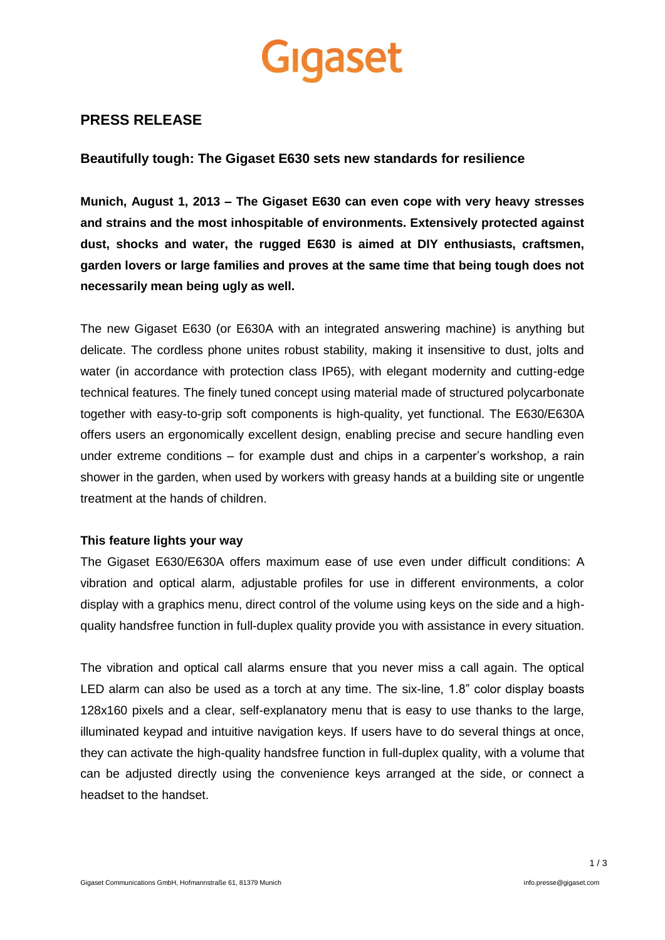# Gigaset

## **PRESS RELEASE**

### **Beautifully tough: The Gigaset E630 sets new standards for resilience**

**Munich, August 1, 2013 – The Gigaset E630 can even cope with very heavy stresses and strains and the most inhospitable of environments. Extensively protected against dust, shocks and water, the rugged E630 is aimed at DIY enthusiasts, craftsmen, garden lovers or large families and proves at the same time that being tough does not necessarily mean being ugly as well.**

The new Gigaset E630 (or E630A with an integrated answering machine) is anything but delicate. The cordless phone unites robust stability, making it insensitive to dust, jolts and water (in accordance with protection class IP65), with elegant modernity and cutting-edge technical features. The finely tuned concept using material made of structured polycarbonate together with easy-to-grip soft components is high-quality, yet functional. The E630/E630A offers users an ergonomically excellent design, enabling precise and secure handling even under extreme conditions – for example dust and chips in a carpenter's workshop, a rain shower in the garden, when used by workers with greasy hands at a building site or ungentle treatment at the hands of children.

#### **This feature lights your way**

The Gigaset E630/E630A offers maximum ease of use even under difficult conditions: A vibration and optical alarm, adjustable profiles for use in different environments, a color display with a graphics menu, direct control of the volume using keys on the side and a highquality handsfree function in full-duplex quality provide you with assistance in every situation.

The vibration and optical call alarms ensure that you never miss a call again. The optical LED alarm can also be used as a torch at any time. The six-line, 1.8" color display boasts 128x160 pixels and a clear, self-explanatory menu that is easy to use thanks to the large, illuminated keypad and intuitive navigation keys. If users have to do several things at once, they can activate the high-quality handsfree function in full-duplex quality, with a volume that can be adjusted directly using the convenience keys arranged at the side, or connect a headset to the handset.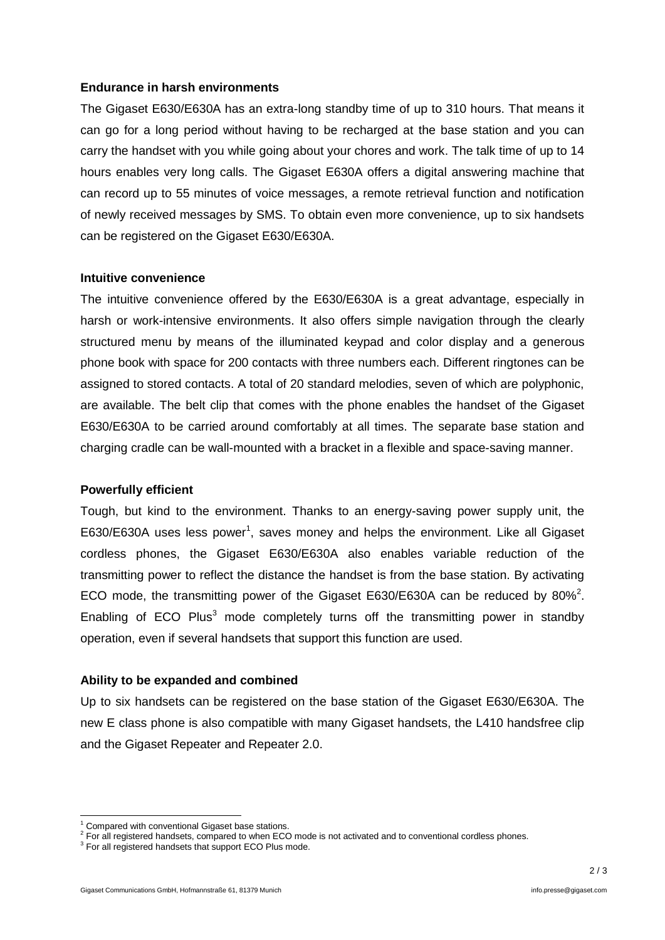#### **Endurance in harsh environments**

The Gigaset E630/E630A has an extra-long standby time of up to 310 hours. That means it can go for a long period without having to be recharged at the base station and you can carry the handset with you while going about your chores and work. The talk time of up to 14 hours enables very long calls. The Gigaset E630A offers a digital answering machine that can record up to 55 minutes of voice messages, a remote retrieval function and notification of newly received messages by SMS. To obtain even more convenience, up to six handsets can be registered on the Gigaset E630/E630A.

#### **Intuitive convenience**

The intuitive convenience offered by the E630/E630A is a great advantage, especially in harsh or work-intensive environments. It also offers simple navigation through the clearly structured menu by means of the illuminated keypad and color display and a generous phone book with space for 200 contacts with three numbers each. Different ringtones can be assigned to stored contacts. A total of 20 standard melodies, seven of which are polyphonic, are available. The belt clip that comes with the phone enables the handset of the Gigaset E630/E630A to be carried around comfortably at all times. The separate base station and charging cradle can be wall-mounted with a bracket in a flexible and space-saving manner.

#### **Powerfully efficient**

Tough, but kind to the environment. Thanks to an energy-saving power supply unit, the E630/E630A uses less power<sup>1</sup>, saves money and helps the environment. Like all Gigaset cordless phones, the Gigaset E630/E630A also enables variable reduction of the transmitting power to reflect the distance the handset is from the base station. By activating ECO mode, the transmitting power of the Gigaset E630/E630A can be reduced by 80%<sup>2</sup>. Enabling of ECO Plus<sup>3</sup> mode completely turns off the transmitting power in standby operation, even if several handsets that support this function are used.

#### **Ability to be expanded and combined**

Up to six handsets can be registered on the base station of the Gigaset E630/E630A. The new E class phone is also compatible with many Gigaset handsets, the L410 handsfree clip and the Gigaset Repeater and Repeater 2.0.

-

Compared with conventional Gigaset base stations.

 $2$  For all registered handsets, compared to when ECO mode is not activated and to conventional cordless phones.

<sup>&</sup>lt;sup>3</sup> For all registered handsets that support ECO Plus mode.